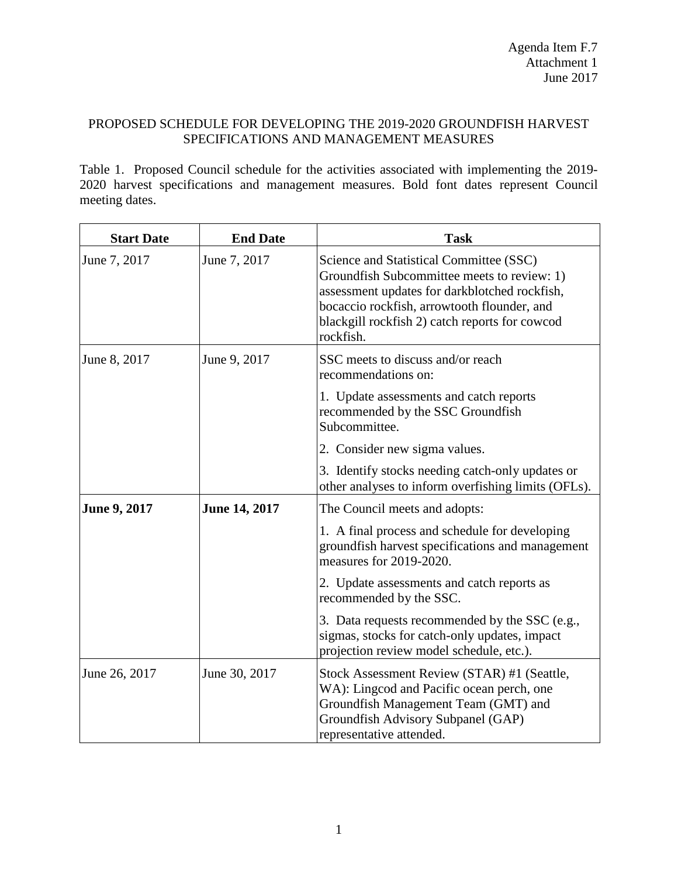## PROPOSED SCHEDULE FOR DEVELOPING THE 2019-2020 GROUNDFISH HARVEST SPECIFICATIONS AND MANAGEMENT MEASURES

Table 1. Proposed Council schedule for the activities associated with implementing the 2019- 2020 harvest specifications and management measures. Bold font dates represent Council meeting dates.

| <b>Start Date</b> | <b>End Date</b> | <b>Task</b>                                                                                                                                                                                                                                           |  |
|-------------------|-----------------|-------------------------------------------------------------------------------------------------------------------------------------------------------------------------------------------------------------------------------------------------------|--|
| June 7, 2017      | June 7, 2017    | Science and Statistical Committee (SSC)<br>Groundfish Subcommittee meets to review: 1)<br>assessment updates for darkblotched rockfish,<br>bocaccio rockfish, arrowtooth flounder, and<br>blackgill rockfish 2) catch reports for cowcod<br>rockfish. |  |
| June 8, 2017      | June 9, 2017    | SSC meets to discuss and/or reach<br>recommendations on:                                                                                                                                                                                              |  |
|                   |                 | 1. Update assessments and catch reports<br>recommended by the SSC Groundfish<br>Subcommittee.                                                                                                                                                         |  |
|                   |                 | 2. Consider new sigma values.                                                                                                                                                                                                                         |  |
|                   |                 | 3. Identify stocks needing catch-only updates or<br>other analyses to inform overfishing limits (OFLs).                                                                                                                                               |  |
| June 9, 2017      | June 14, 2017   | The Council meets and adopts:                                                                                                                                                                                                                         |  |
|                   |                 | 1. A final process and schedule for developing<br>groundfish harvest specifications and management<br>measures for 2019-2020.                                                                                                                         |  |
|                   |                 | 2. Update assessments and catch reports as<br>recommended by the SSC.                                                                                                                                                                                 |  |
|                   |                 | 3. Data requests recommended by the SSC (e.g.,<br>sigmas, stocks for catch-only updates, impact<br>projection review model schedule, etc.).                                                                                                           |  |
| June 26, 2017     | June 30, 2017   | Stock Assessment Review (STAR) #1 (Seattle,<br>WA): Lingcod and Pacific ocean perch, one<br>Groundfish Management Team (GMT) and<br>Groundfish Advisory Subpanel (GAP)<br>representative attended.                                                    |  |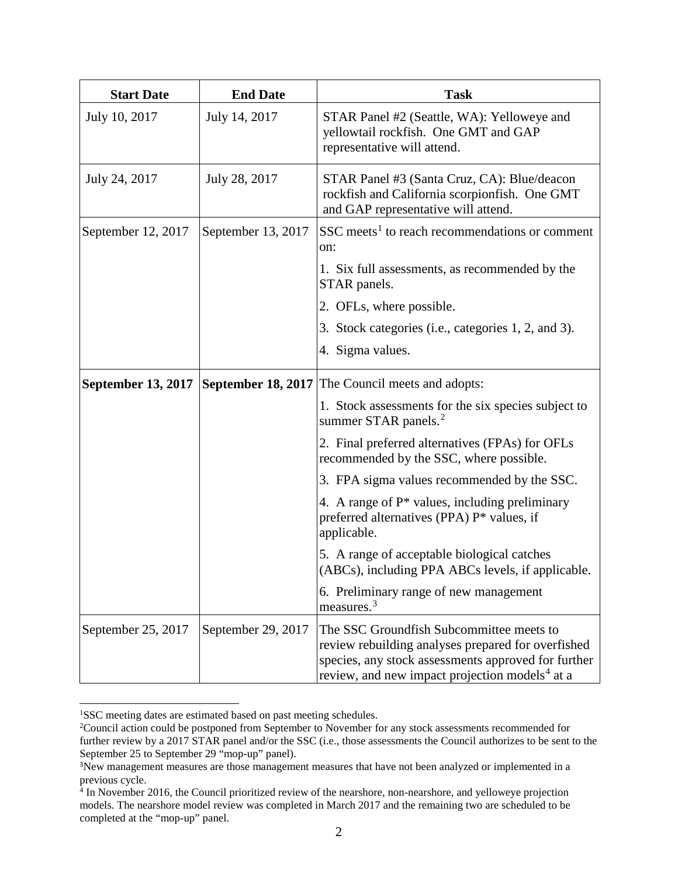| <b>Start Date</b>         | <b>End Date</b>    | <b>Task</b>                                                                                                                                                                                                         |  |
|---------------------------|--------------------|---------------------------------------------------------------------------------------------------------------------------------------------------------------------------------------------------------------------|--|
| July 10, 2017             | July 14, 2017      | STAR Panel #2 (Seattle, WA): Yelloweye and<br>yellowtail rockfish. One GMT and GAP<br>representative will attend.                                                                                                   |  |
| July 24, 2017             | July 28, 2017      | STAR Panel #3 (Santa Cruz, CA): Blue/deacon<br>rockfish and California scorpionfish. One GMT<br>and GAP representative will attend.                                                                                 |  |
| September 12, 2017        | September 13, 2017 | SSC meets <sup>1</sup> to reach recommendations or comment<br>on:                                                                                                                                                   |  |
|                           |                    | 1. Six full assessments, as recommended by the<br>STAR panels.                                                                                                                                                      |  |
|                           |                    | 2. OFLs, where possible.                                                                                                                                                                                            |  |
|                           |                    | 3. Stock categories (i.e., categories 1, 2, and 3).                                                                                                                                                                 |  |
|                           |                    | 4. Sigma values.                                                                                                                                                                                                    |  |
| <b>September 13, 2017</b> |                    | <b>September 18, 2017</b> The Council meets and adopts:                                                                                                                                                             |  |
|                           |                    | 1. Stock assessments for the six species subject to<br>summer STAR panels. $2$                                                                                                                                      |  |
|                           |                    | 2. Final preferred alternatives (FPAs) for OFLs<br>recommended by the SSC, where possible.                                                                                                                          |  |
|                           |                    | 3. FPA sigma values recommended by the SSC.                                                                                                                                                                         |  |
|                           |                    | 4. A range of $P^*$ values, including preliminary<br>preferred alternatives (PPA) P* values, if<br>applicable.                                                                                                      |  |
|                           |                    | 5. A range of acceptable biological catches<br>(ABCs), including PPA ABCs levels, if applicable.                                                                                                                    |  |
|                           |                    | 6. Preliminary range of new management<br>measures. <sup>3</sup>                                                                                                                                                    |  |
| September 25, 2017        | September 29, 2017 | The SSC Groundfish Subcommittee meets to<br>review rebuilding analyses prepared for overfished<br>species, any stock assessments approved for further<br>review, and new impact projection models <sup>4</sup> at a |  |

<span id="page-1-0"></span><sup>|&</sup>lt;br>|<br>| <sup>1</sup>SSC meeting dates are estimated based on past meeting schedules.

<span id="page-1-1"></span><sup>&</sup>lt;sup>2</sup>Council action could be postponed from September to November for any stock assessments recommended for further review by a 2017 STAR panel and/or the SSC (i.e., those assessments the Council authorizes to be sent to the September 25 to September 29 "mop-up" panel).

<span id="page-1-2"></span><sup>&</sup>lt;sup>3</sup>New management measures are those management measures that have not been analyzed or implemented in a previous cycle.

<span id="page-1-3"></span> $\frac{4}{4}$  In November 2016, the Council prioritized review of the nearshore, non-nearshore, and yelloweye projection models. The nearshore model review was completed in March 2017 and the remaining two are scheduled to be completed at the "mop-up" panel.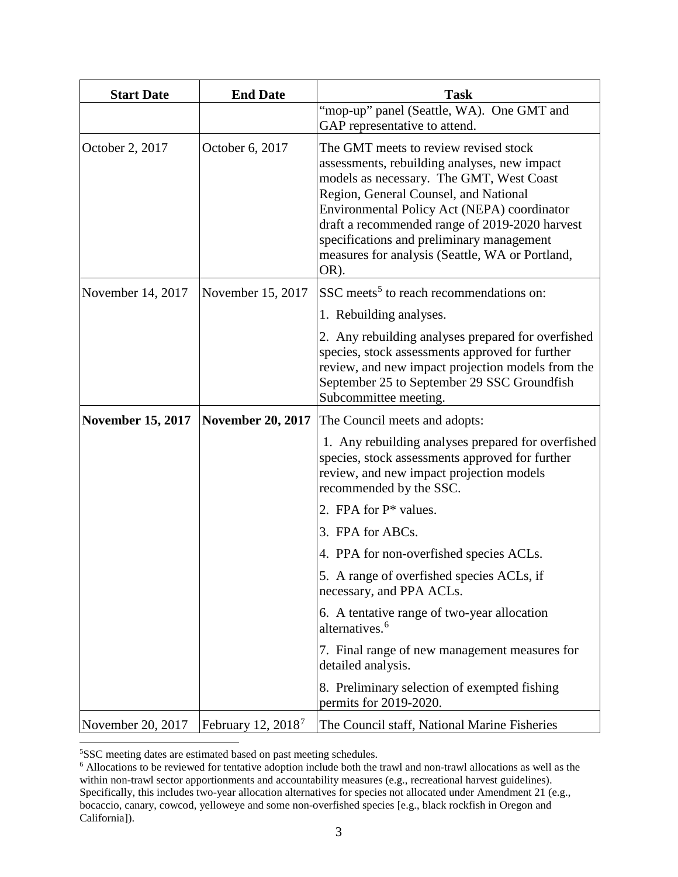| <b>Start Date</b>        | <b>End Date</b>                | <b>Task</b>                                                                                                                                                                                                                                                                                                                                                                         |
|--------------------------|--------------------------------|-------------------------------------------------------------------------------------------------------------------------------------------------------------------------------------------------------------------------------------------------------------------------------------------------------------------------------------------------------------------------------------|
|                          |                                | "mop-up" panel (Seattle, WA). One GMT and<br>GAP representative to attend.                                                                                                                                                                                                                                                                                                          |
| October 2, 2017          | October 6, 2017                | The GMT meets to review revised stock<br>assessments, rebuilding analyses, new impact<br>models as necessary. The GMT, West Coast<br>Region, General Counsel, and National<br>Environmental Policy Act (NEPA) coordinator<br>draft a recommended range of 2019-2020 harvest<br>specifications and preliminary management<br>measures for analysis (Seattle, WA or Portland,<br>OR). |
| November 14, 2017        | November 15, 2017              | SSC meets <sup>5</sup> to reach recommendations on:                                                                                                                                                                                                                                                                                                                                 |
|                          |                                | 1. Rebuilding analyses.                                                                                                                                                                                                                                                                                                                                                             |
|                          |                                | 2. Any rebuilding analyses prepared for overfished<br>species, stock assessments approved for further<br>review, and new impact projection models from the<br>September 25 to September 29 SSC Groundfish<br>Subcommittee meeting.                                                                                                                                                  |
| <b>November 15, 2017</b> | <b>November 20, 2017</b>       | The Council meets and adopts:                                                                                                                                                                                                                                                                                                                                                       |
|                          |                                | 1. Any rebuilding analyses prepared for overfished<br>species, stock assessments approved for further<br>review, and new impact projection models<br>recommended by the SSC.                                                                                                                                                                                                        |
|                          |                                | 2. FPA for $P^*$ values.                                                                                                                                                                                                                                                                                                                                                            |
|                          |                                | 3. FPA for ABCs.                                                                                                                                                                                                                                                                                                                                                                    |
|                          |                                | 4. PPA for non-overfished species ACLs.                                                                                                                                                                                                                                                                                                                                             |
|                          |                                | 5. A range of overfished species ACLs, if<br>necessary, and PPA ACLs.                                                                                                                                                                                                                                                                                                               |
|                          |                                | 6. A tentative range of two-year allocation<br>alternatives. <sup>6</sup>                                                                                                                                                                                                                                                                                                           |
|                          |                                | 7. Final range of new management measures for<br>detailed analysis.                                                                                                                                                                                                                                                                                                                 |
|                          |                                | 8. Preliminary selection of exempted fishing<br>permits for 2019-2020.                                                                                                                                                                                                                                                                                                              |
| November 20, 2017        | February 12, 2018 <sup>7</sup> | The Council staff, National Marine Fisheries                                                                                                                                                                                                                                                                                                                                        |

 <sup>5</sup>

<span id="page-2-1"></span><span id="page-2-0"></span>SSC meeting dates are estimated based on past meeting schedules. 6 Allocations to be reviewed for tentative adoption include both the trawl and non-trawl allocations as well as the within non-trawl sector apportionments and accountability measures (e.g., recreational harvest guidelines). Specifically, this includes two-year allocation alternatives for species not allocated under Amendment 21 (e.g., bocaccio, canary, cowcod, yelloweye and some non-overfished species [e.g., black rockfish in Oregon and California]).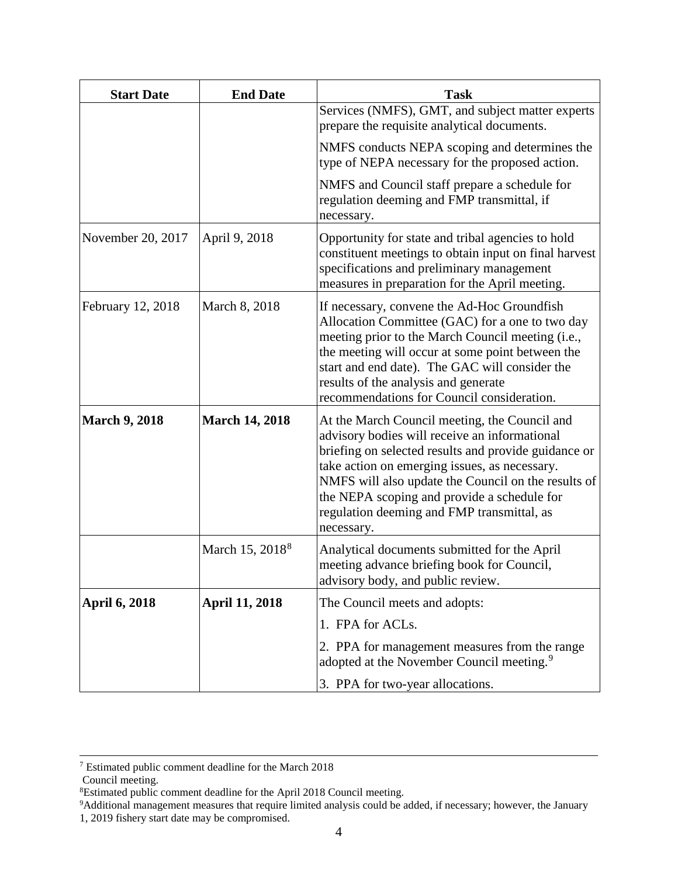| <b>Start Date</b>    | <b>End Date</b>             | <b>Task</b>                                                                                                                                                                                                                                                                                                                                                               |  |
|----------------------|-----------------------------|---------------------------------------------------------------------------------------------------------------------------------------------------------------------------------------------------------------------------------------------------------------------------------------------------------------------------------------------------------------------------|--|
|                      |                             | Services (NMFS), GMT, and subject matter experts<br>prepare the requisite analytical documents.                                                                                                                                                                                                                                                                           |  |
|                      |                             | NMFS conducts NEPA scoping and determines the<br>type of NEPA necessary for the proposed action.                                                                                                                                                                                                                                                                          |  |
|                      |                             | NMFS and Council staff prepare a schedule for<br>regulation deeming and FMP transmittal, if<br>necessary.                                                                                                                                                                                                                                                                 |  |
| November 20, 2017    | April 9, 2018               | Opportunity for state and tribal agencies to hold<br>constituent meetings to obtain input on final harvest<br>specifications and preliminary management<br>measures in preparation for the April meeting.                                                                                                                                                                 |  |
| February 12, 2018    | March 8, 2018               | If necessary, convene the Ad-Hoc Groundfish<br>Allocation Committee (GAC) for a one to two day<br>meeting prior to the March Council meeting (i.e.,<br>the meeting will occur at some point between the<br>start and end date). The GAC will consider the<br>results of the analysis and generate<br>recommendations for Council consideration.                           |  |
| <b>March 9, 2018</b> | <b>March 14, 2018</b>       | At the March Council meeting, the Council and<br>advisory bodies will receive an informational<br>briefing on selected results and provide guidance or<br>take action on emerging issues, as necessary.<br>NMFS will also update the Council on the results of<br>the NEPA scoping and provide a schedule for<br>regulation deeming and FMP transmittal, as<br>necessary. |  |
|                      | March 15, 2018 <sup>8</sup> | Analytical documents submitted for the April<br>meeting advance briefing book for Council,<br>advisory body, and public review.                                                                                                                                                                                                                                           |  |
| <b>April 6, 2018</b> | <b>April 11, 2018</b>       | The Council meets and adopts:                                                                                                                                                                                                                                                                                                                                             |  |
|                      |                             | 1. FPA for ACLs.                                                                                                                                                                                                                                                                                                                                                          |  |
|                      |                             | 2. PPA for management measures from the range<br>adopted at the November Council meeting. <sup>9</sup>                                                                                                                                                                                                                                                                    |  |
|                      |                             | 3. PPA for two-year allocations.                                                                                                                                                                                                                                                                                                                                          |  |

 <sup>7</sup> Estimated public comment deadline for the March 2018

Council meeting.

<span id="page-3-1"></span><span id="page-3-0"></span><sup>&</sup>lt;sup>8</sup>Estimated public comment deadline for the April 2018 Council meeting.<br><sup>9</sup>Additional management measures that require limited analysis could be added, if necessary; however, the January 1, 2019 fishery start date may be compromised.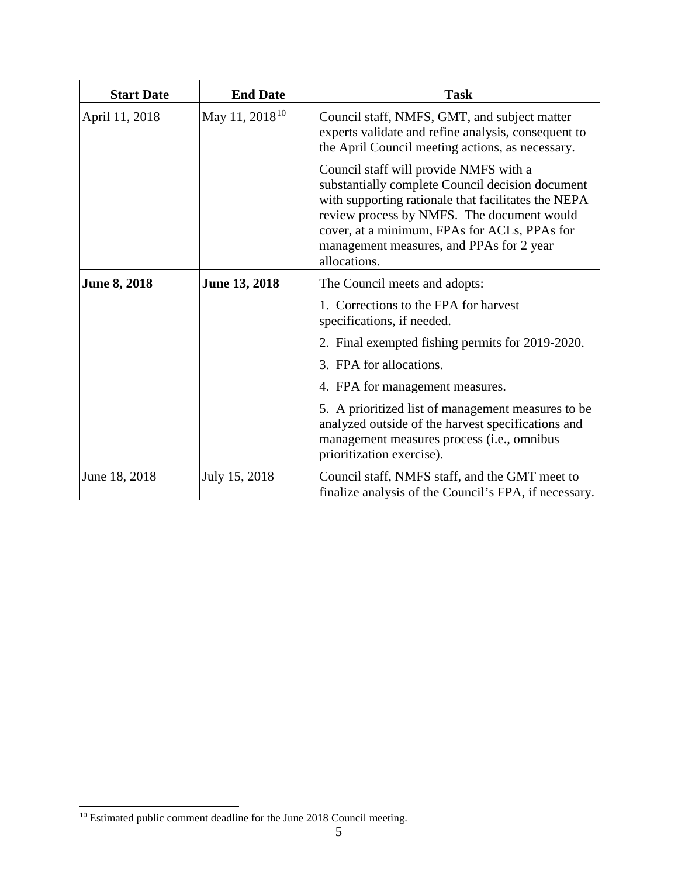| <b>Start Date</b>   | <b>End Date</b>            | <b>Task</b>                                                                                                                                                                                                                                                                                                 |  |
|---------------------|----------------------------|-------------------------------------------------------------------------------------------------------------------------------------------------------------------------------------------------------------------------------------------------------------------------------------------------------------|--|
| April 11, 2018      | May 11, 2018 <sup>10</sup> | Council staff, NMFS, GMT, and subject matter<br>experts validate and refine analysis, consequent to<br>the April Council meeting actions, as necessary.                                                                                                                                                     |  |
|                     |                            | Council staff will provide NMFS with a<br>substantially complete Council decision document<br>with supporting rationale that facilitates the NEPA<br>review process by NMFS. The document would<br>cover, at a minimum, FPAs for ACLs, PPAs for<br>management measures, and PPAs for 2 year<br>allocations. |  |
| <b>June 8, 2018</b> | <b>June 13, 2018</b>       | The Council meets and adopts:                                                                                                                                                                                                                                                                               |  |
|                     |                            | 1. Corrections to the FPA for harvest<br>specifications, if needed.                                                                                                                                                                                                                                         |  |
|                     |                            | 2. Final exempted fishing permits for 2019-2020.                                                                                                                                                                                                                                                            |  |
|                     |                            | 3. FPA for allocations.                                                                                                                                                                                                                                                                                     |  |
|                     |                            | 4. FPA for management measures.                                                                                                                                                                                                                                                                             |  |
|                     |                            | 5. A prioritized list of management measures to be<br>analyzed outside of the harvest specifications and<br>management measures process (i.e., omnibus<br>prioritization exercise).                                                                                                                         |  |
| June 18, 2018       | July 15, 2018              | Council staff, NMFS staff, and the GMT meet to<br>finalize analysis of the Council's FPA, if necessary.                                                                                                                                                                                                     |  |

<span id="page-4-0"></span><sup>&</sup>lt;sup>10</sup> Estimated public comment deadline for the June 2018 Council meeting.